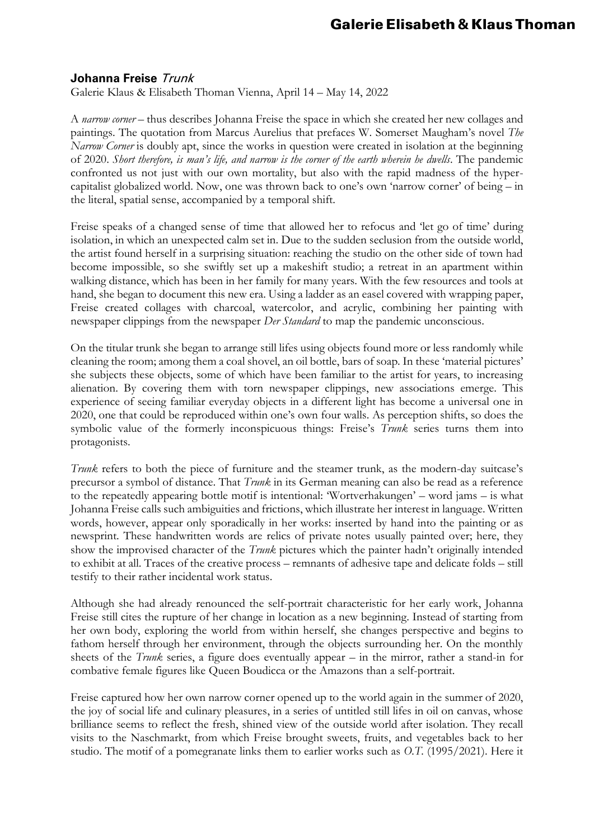## **Johanna Freise** Trunk

Galerie Klaus & Elisabeth Thoman Vienna, April 14 – May 14, 2022

A *narrow corner* – thus describes Johanna Freise the space in which she created her new collages and paintings. The quotation from Marcus Aurelius that prefaces W. Somerset Maugham's novel *The Narrow Corner* is doubly apt, since the works in question were created in isolation at the beginning of 2020. *Short therefore, is man's life, and narrow is the corner of the earth wherein he dwells*. The pandemic confronted us not just with our own mortality, but also with the rapid madness of the hypercapitalist globalized world. Now, one was thrown back to one's own 'narrow corner' of being – in the literal, spatial sense, accompanied by a temporal shift.

Freise speaks of a changed sense of time that allowed her to refocus and 'let go of time' during isolation, in which an unexpected calm set in. Due to the sudden seclusion from the outside world, the artist found herself in a surprising situation: reaching the studio on the other side of town had become impossible, so she swiftly set up a makeshift studio; a retreat in an apartment within walking distance, which has been in her family for many years. With the few resources and tools at hand, she began to document this new era. Using a ladder as an easel covered with wrapping paper, Freise created collages with charcoal, watercolor, and acrylic, combining her painting with newspaper clippings from the newspaper *Der Standard* to map the pandemic unconscious.

On the titular trunk she began to arrange still lifes using objects found more or less randomly while cleaning the room; among them a coal shovel, an oil bottle, bars of soap. In these 'material pictures' she subjects these objects, some of which have been familiar to the artist for years, to increasing alienation. By covering them with torn newspaper clippings, new associations emerge. This experience of seeing familiar everyday objects in a different light has become a universal one in 2020, one that could be reproduced within one's own four walls. As perception shifts, so does the symbolic value of the formerly inconspicuous things: Freise's *Trunk* series turns them into protagonists.

*Trunk* refers to both the piece of furniture and the steamer trunk, as the modern-day suitcase's precursor a symbol of distance. That *Trunk* in its German meaning can also be read as a reference to the repeatedly appearing bottle motif is intentional: 'Wortverhakungen' – word jams – is what Johanna Freise calls such ambiguities and frictions, which illustrate her interest in language. Written words, however, appear only sporadically in her works: inserted by hand into the painting or as newsprint. These handwritten words are relics of private notes usually painted over; here, they show the improvised character of the *Trunk* pictures which the painter hadn't originally intended to exhibit at all. Traces of the creative process – remnants of adhesive tape and delicate folds – still testify to their rather incidental work status.

Although she had already renounced the self-portrait characteristic for her early work, Johanna Freise still cites the rupture of her change in location as a new beginning. Instead of starting from her own body, exploring the world from within herself, she changes perspective and begins to fathom herself through her environment, through the objects surrounding her. On the monthly sheets of the *Trunk* series, a figure does eventually appear – in the mirror, rather a stand-in for combative female figures like Queen Boudicca or the Amazons than a self-portrait.

Freise captured how her own narrow corner opened up to the world again in the summer of 2020, the joy of social life and culinary pleasures, in a series of untitled still lifes in oil on canvas, whose brilliance seems to reflect the fresh, shined view of the outside world after isolation. They recall visits to the Naschmarkt, from which Freise brought sweets, fruits, and vegetables back to her studio. The motif of a pomegranate links them to earlier works such as *O.T.* (1995/2021). Here it